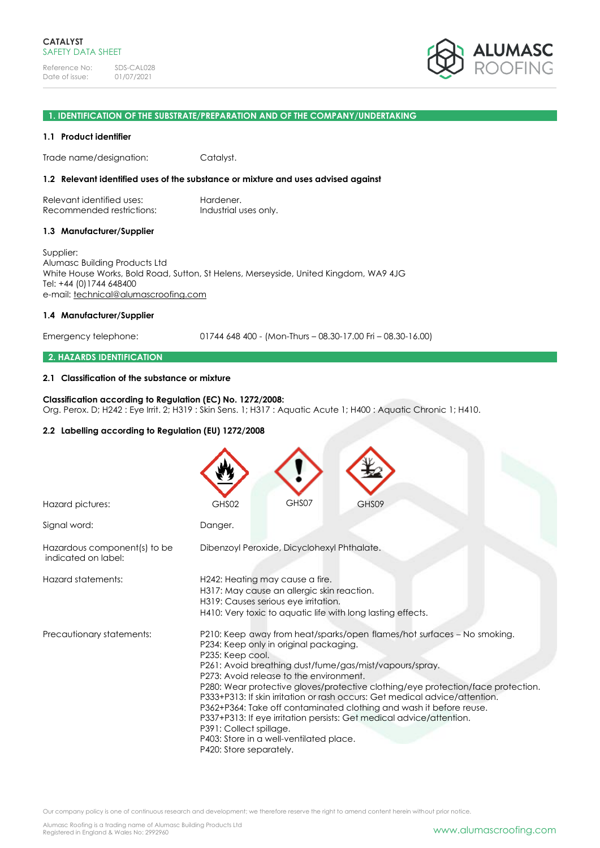

### **1. IDENTIFICATION OF THE SUBSTRATE/PREPARATION AND OF THE COMPANY/UNDERTAKING**

#### **1.1 Product identifier**

Trade name/designation: Catalyst.

#### **1.2 Relevant identified uses of the substance or mixture and uses advised against**

Relevant identified uses: Hardener. Recommended restrictions: Industrial uses only.

#### **1.3 Manufacturer/Supplier**

Supplier: Alumasc Building Products Ltd White House Works, Bold Road, Sutton, St Helens, Merseyside, United Kingdom, WA9 4JG Tel: +44 (0)1744 648400 e-mail: [technical@alumascroofing.com](mailto:technical@alumascroofing.com)

### **1.4 Manufacturer/Supplier**

Emergency telephone: 01744 648 400 - (Mon-Thurs – 08.30-17.00 Fri – 08.30-16.00)

### **2. HAZARDS IDENTIFICATION**

#### **2.1 Classification of the substance or mixture**

### **Classification according to Regulation (EC) No. 1272/2008:**

Org. Perox. D; H242 : Eye Irrit. 2; H319 : Skin Sens. 1; H317 : Aquatic Acute 1; H400 : Aquatic Chronic 1; H410.

### **2.2 Labelling according to Regulation (EU) 1272/2008**

| Hazard pictures:                                    | GHS07<br>GHS02<br>GHS09                                                                                                                                                                                                                                                                                                                                                                                                                                                                                                                                                                                                                                        |
|-----------------------------------------------------|----------------------------------------------------------------------------------------------------------------------------------------------------------------------------------------------------------------------------------------------------------------------------------------------------------------------------------------------------------------------------------------------------------------------------------------------------------------------------------------------------------------------------------------------------------------------------------------------------------------------------------------------------------------|
| Signal word:                                        | Danger.                                                                                                                                                                                                                                                                                                                                                                                                                                                                                                                                                                                                                                                        |
| Hazardous component(s) to be<br>indicated on label: | Dibenzoyl Peroxide, Dicyclohexyl Phthalate.                                                                                                                                                                                                                                                                                                                                                                                                                                                                                                                                                                                                                    |
| Hazard statements:                                  | H242: Heating may cause a fire.<br>H317: May cause an allergic skin reaction.<br>H319: Causes serious eye irritation.<br>H410: Very toxic to aquatic life with long lasting effects.                                                                                                                                                                                                                                                                                                                                                                                                                                                                           |
| Precautionary statements:                           | P210: Keep away from heat/sparks/open flames/hot surfaces - No smoking.<br>P234: Keep only in original packaging.<br>P235: Keep cool.<br>P261: Avoid breathing dust/fume/gas/mist/vapours/spray.<br>P273: Avoid release to the environment.<br>P280: Wear protective gloves/protective clothing/eye protection/face protection.<br>P333+P313: If skin irritation or rash occurs: Get medical advice/attention.<br>P362+P364: Take off contaminated clothing and wash it before reuse.<br>P337+P313: If eye irritation persists: Get medical advice/attention.<br>P391: Collect spillage.<br>P403: Store in a well-ventilated place.<br>P420: Store separately. |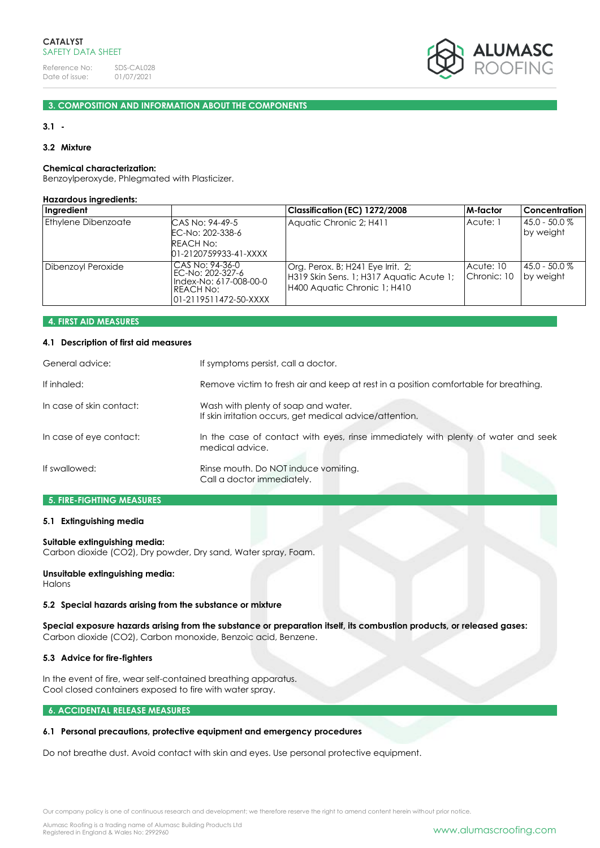

# **3. COMPOSITION AND INFORMATION ABOUT THE COMPONENTS**

#### **3.1 -**

#### **3.2 Mixture**

# **Chemical characterization:**

Benzoylperoxyde, Phlegmated with Plasticizer.

#### **Hazardous ingredients:**

| Ingredient                 |                                                                                                      | Classification (EC) 1272/2008                                                                                 | M-factor                 | <b>Concentration</b>         |
|----------------------------|------------------------------------------------------------------------------------------------------|---------------------------------------------------------------------------------------------------------------|--------------------------|------------------------------|
| <b>Ethylene Dibenzoate</b> | CAS No: 94-49-5<br>EC-No: 202-338-6<br>REACH No:<br>01-2120759933-41-XXXX                            | Aquatic Chronic 2; H411                                                                                       | Acute: 1                 | 45.0 - 50.0 %<br>by weight   |
| Dibenzoyl Peroxide         | CAS No: 94-36-0<br>EC-No: 202-327-6<br>Index-No: 617-008-00-0<br>REACH No:<br>l01-2119511472-50-XXXX | Org. Perox. B; H241 Eye Irrit. 2;<br>H319 Skin Sens. 1; H317 Aquatic Acute 1;<br>H400 Aquatic Chronic 1; H410 | Acute: 10<br>Chronic: 10 | $45.0 - 50.0 %$<br>by weight |

#### **4. FIRST AID MEASURES**

#### **4.1 Description of first aid measures**

| General advice:          | If symptoms persist, call a doctor.                                                                  |
|--------------------------|------------------------------------------------------------------------------------------------------|
| If inhaled:              | Remove victim to fresh air and keep at rest in a position comfortable for breathing.                 |
| In case of skin contact: | Wash with plenty of soap and water.<br>If skin irritation occurs, get medical advice/attention.      |
| In case of eye contact:  | In the case of contact with eyes, rinse immediately with plenty of water and seek<br>medical advice. |
| If swallowed:            | Rinse mouth. Do NOT induce vomiting.<br>Call a doctor immediately.                                   |

# **5. FIRE-FIGHTING MEASURES**

#### **5.1 Extinguishing media**

#### **Suitable extinguishing media:**

Carbon dioxide (CO2), Dry powder, Dry sand, Water spray, Foam.

### **Unsuitable extinguishing media:**

Halons

#### **5.2 Special hazards arising from the substance or mixture**

**Special exposure hazards arising from the substance or preparation itself, its combustion products, or released gases:** Carbon dioxide (CO2), Carbon monoxide, Benzoic acid, Benzene.

#### **5.3 Advice for fire-fighters**

In the event of fire, wear self-contained breathing apparatus. Cool closed containers exposed to fire with water spray.

### **6. ACCIDENTAL RELEASE MEASURES**

### **6.1 Personal precautions, protective equipment and emergency procedures**

Do not breathe dust. Avoid contact with skin and eyes. Use personal protective equipment.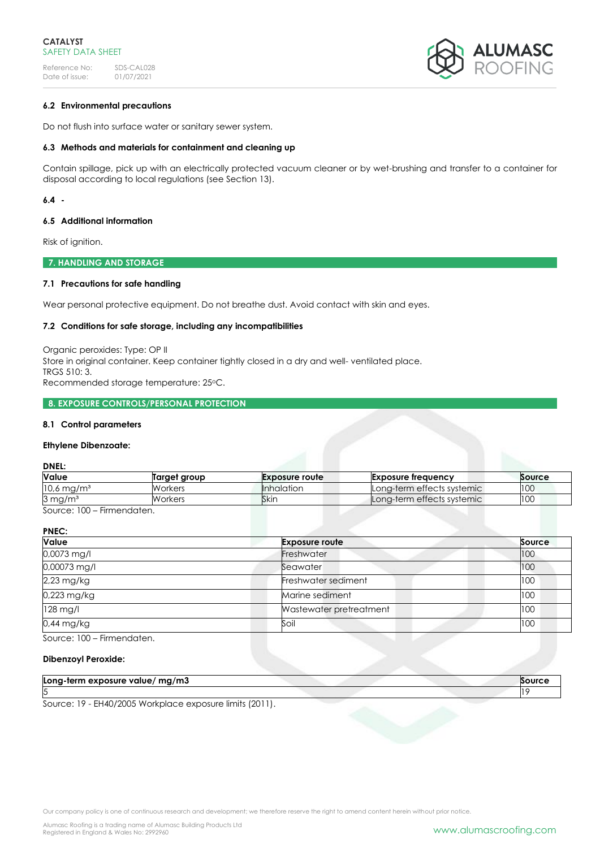

# **6.2 Environmental precautions**

Do not flush into surface water or sanitary sewer system.

# **6.3 Methods and materials for containment and cleaning up**

Contain spillage, pick up with an electrically protected vacuum cleaner or by wet-brushing and transfer to a container for disposal according to local regulations (see Section 13).

## **6.4 -**

### **6.5 Additional information**

Risk of ignition.

**7. HANDLING AND STORAGE**

# **7.1 Precautions for safe handling**

Wear personal protective equipment. Do not breathe dust. Avoid contact with skin and eyes.

### **7.2 Conditions for safe storage, including any incompatibilities**

Organic peroxides: Type: OP II Store in original container. Keep container tightly closed in a dry and well- ventilated place. TRGS 510: 3. Recommended storage temperature: 25oC.

### **8. EXPOSURE CONTROLS/PERSONAL PROTECTION**

### **8.1 Control parameters**

### **Ethylene Dibenzoate:**

**DNEL:**

| Value                    | Target group | <b>Exposure route</b> | <b>Exposure frequency</b>  | Source |
|--------------------------|--------------|-----------------------|----------------------------|--------|
| $10,6$ mg/m <sup>3</sup> | Workers      | <b>Inhalation</b>     | Long-term effects systemic | 100    |
| $3 \,\mathrm{mg/m^3}$    | Workers      | Skin                  | Long-term effects systemic | 100    |

Source: 100 – Firmendaten.

| <b>Value</b> | <b>Exposure route</b>   | Source |
|--------------|-------------------------|--------|
| 0,0073 mg/l  | Freshwater              | 100    |
| 0,00073 mg/l | Seawater                | 100    |
| 2,23 mg/kg   | Freshwater sediment     | 100    |
| 0,223 mg/kg  | Marine sediment         | 100    |
| $128$ mg/l   | Wastewater pretreatment | 100    |
| $0.44$ mg/kg | Soil                    | 100    |

Source: 100 – Firmendaten.

### **Dibenzoyl Peroxide:**

| Long-term exposure value/ $mg/m3$                      |  |
|--------------------------------------------------------|--|
|                                                        |  |
| Course: 10 FU40/000E Werkelase ave seure limite (0011) |  |

Source: 19 - EH40/2005 Workplace exposure limits (2011).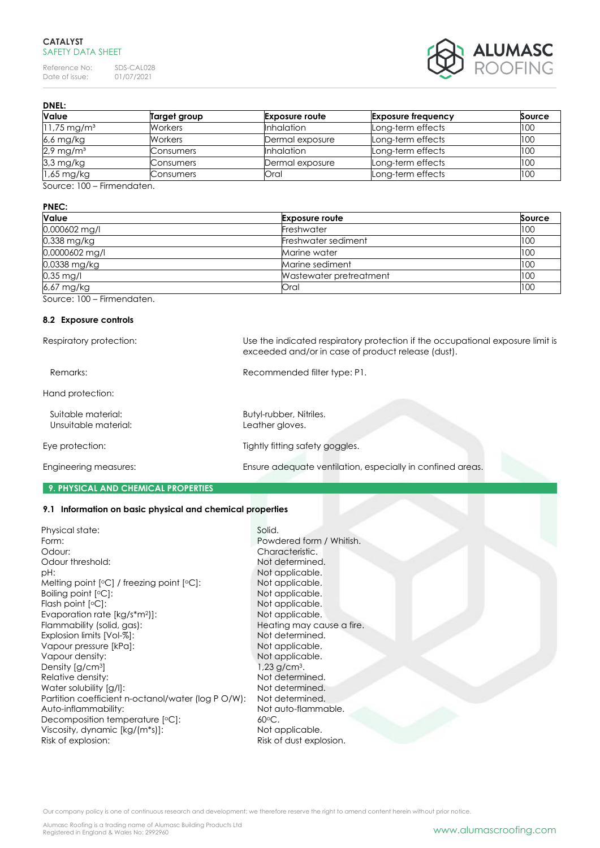Reference No: SDS-CAL028<br>Date of issue: 01/07/2021 Date of issue:



**DNEL:**

| Value                     | Target group   | <b>Exposure route</b> | <b>Exposure frequency</b> | Source |
|---------------------------|----------------|-----------------------|---------------------------|--------|
| $11,75 \,\mathrm{mg/m^3}$ | <b>Workers</b> | <b>Inhalation</b>     | Long-term effects         | 100    |
| 6,6 mg/kg                 | <b>Workers</b> | Dermal exposure       | Long-term effects         | 100    |
| $2.9 \,\mathrm{mg/m^3}$   | Consumers      | <b>Inhalation</b>     | Long-term effects         | 100    |
| 3,3 mg/kg                 | Consumers      | Dermal exposure       | Long-term effects         | 100    |
| 1,65 mg/kg                | Consumers      | Oral                  | Long-term effects         | 100    |

Source: 100 – Firmendaten.

### **PNEC:**

| <b>Value</b>   | <b>Exposure route</b>   | Source |
|----------------|-------------------------|--------|
| 0,000602 mg/l  | Freshwater              | 100    |
| 0,338 mg/kg    | Freshwater sediment     | 100    |
| 0,0000602 mg/l | Marine water            | 100    |
| 0,0338 mg/kg   | Marine sediment         | 100    |
| $0.35$ mg/l    | Wastewater pretreatment | 100    |
| 6,67 mg/kg     | Oral                    | 100    |

Source: 100 – Firmendaten.

### **8.2 Exposure controls**

| Respiratory protection:                    | Use the indicated respiratory protection if the occupational exposure limit is<br>exceeded and/or in case of product release (dust). |
|--------------------------------------------|--------------------------------------------------------------------------------------------------------------------------------------|
| Remarks:                                   | Recommended filter type: P1.                                                                                                         |
| Hand protection:                           |                                                                                                                                      |
| Suitable material:<br>Unsuitable material: | Butyl-rubber, Nitriles.<br>Leather gloves.                                                                                           |
| Eye protection:                            | Tightly fitting safety goggles.                                                                                                      |
| Engineering measures:                      | Ensure adequate ventilation, especially in confined areas.                                                                           |

#### **9. PHYSICAL AND CHEMICAL PROPERTIES**

### **9.1 Information on basic physical and chemical properties**

| Physical state:                                    | Solid.                     |
|----------------------------------------------------|----------------------------|
| Form:                                              | Powdered form / Whitish.   |
| Odour:                                             | Characteristic.            |
| Odour threshold:                                   | Not determined.            |
| pH:                                                | Not applicable.            |
| Melting point $[°C]$ / freezing point $[°C]$ :     | Not applicable.            |
| Boiling point $[°C]$ :                             | Not applicable.            |
| Flash point $[°C]$ :                               | Not applicable.            |
| Evaporation rate $[kg/s*m2)$ :                     | Not applicable.            |
| Flammability (solid, gas):                         | Heating may cause a fire   |
| Explosion limits [Vol-%]:                          | Not determined.            |
| Vapour pressure [kPa]:                             | Not applicable.            |
| Vapour density:                                    | Not applicable.            |
| Density [g/cm <sup>3</sup> ]                       | $1,23$ g/cm <sup>3</sup> . |
| Relative density:                                  | Not determined.            |
| Water solubility [g/l]:                            | Not determined.            |
| Partition coefficient n-octanol/water (log P O/W): | Not determined.            |
| Auto-inflammability:                               | Not auto-flammable.        |
| Decomposition temperature [°C]:                    | $60^{\circ}$ C.            |
| Viscosity, dynamic [kg/(m*s)]:                     | Not applicable.            |
| Risk of explosion:                                 | Risk of dust explosion.    |
|                                                    |                            |

racteristic. determined. applicable.  $a$ pplicable. applicable. applicable. copplicable. ting may cause a fire. determined. applicable. applicable.  $g/cm<sup>3</sup>$ . determined. determined. determined. auto-flammable. applicable. of dust explosion.

Our company policy is one of continuous research and development; we therefore reserve the right to amend content herein without prior notice.

Alumasc Roofing is a trading name of Alumasc Building Products Ltd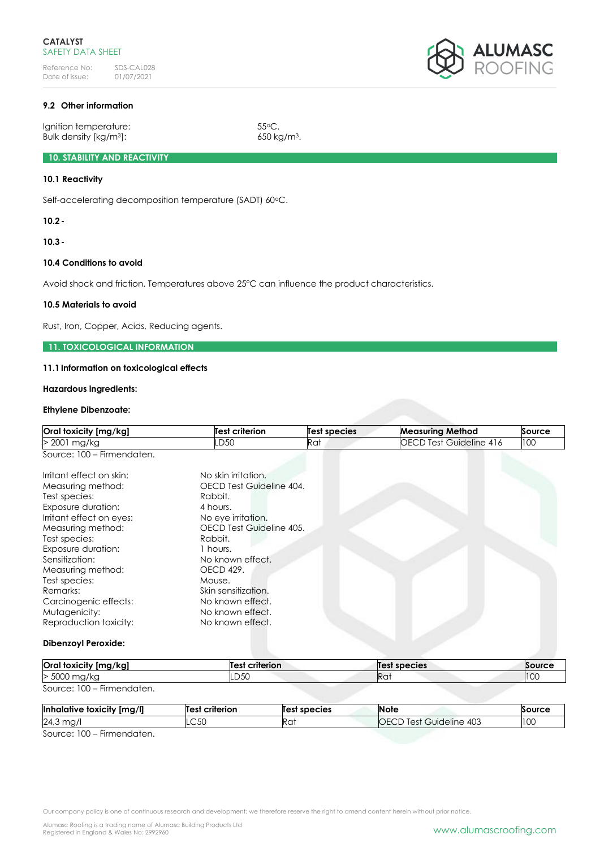

# **9.2 Other information**

Ignition temperature: 55°C. Bulk density [kg/m<sup>3</sup>]: 650 kg/m<sup>3</sup>.

## **10. STABILITY AND REACTIVITY**

# **10.1 Reactivity**

Self-accelerating decomposition temperature (SADT) 60°C.

**10.2-**

**10.3-**

### **10.4 Conditions to avoid**

Avoid shock and friction. Temperatures above 25°C can influence the product characteristics.

### **10.5 Materials to avoid**

Rust, Iron, Copper, Acids, Reducing agents.

### **11. TOXICOLOGICAL INFORMATION**

#### **11.1Information on toxicological effects**

### **Hazardous ingredients:**

#### **Ethylene Dibenzoate:**

| Oral toxicity [mg/kg]      | <b>Test criterion</b>    | <b>Test species</b> | <b>Measuring Method</b>        | Source |
|----------------------------|--------------------------|---------------------|--------------------------------|--------|
| > 2001 mg/kg               | D50-                     | Rat                 | <b>OECD Test Guideline 416</b> | 100    |
| Source: 100 - Firmendaten. |                          |                     |                                |        |
| Irritant effect on skin:   | No skin irritation.      |                     |                                |        |
| Measuring method:          | OECD Test Guideline 404. |                     |                                |        |
| Test species:              | Rabbit.                  |                     |                                |        |
| Exposure duration:         | 4 hours.                 |                     |                                |        |
| Irritant effect on eyes:   | No eye irritation.       |                     |                                |        |
| Measuring method:          | OECD Test Guideline 405. |                     |                                |        |
| Test species:              | Rabbit.                  |                     |                                |        |
| Exposure duration:         | 1 hours.                 |                     |                                |        |
| Sensitization:             | No known effect.         |                     |                                |        |
| Measuring method:          | OECD 429.                |                     |                                |        |
| Test species:              | Mouse.                   |                     |                                |        |
| Remarks:                   | Skin sensitization.      |                     |                                |        |
| Carcinogenic effects:      | No known effect.         |                     |                                |        |
| Mutagenicity:              | No known effect.         |                     |                                |        |
| Reproduction toxicity:     | No known effect.         |                     |                                |        |
| <b>Dibenzoyl Peroxide:</b> |                          |                     |                                |        |

| Oral toxicity [mg/kg]      | Test criterion | Test species    | Source |
|----------------------------|----------------|-----------------|--------|
| > 5000 mg/kg               | .D50           | Ra <sup>-</sup> | 100    |
| Source: 100 – Firmendaten. |                |                 |        |

| Inhalative toxicity<br>``' [mg/ı, | criterion<br>Test | Test species | <b>Note</b>                       | Source       |
|-----------------------------------|-------------------|--------------|-----------------------------------|--------------|
| 24,3<br>ma,                       | CET<br>-00        | Ra:          | Guideline 403<br>iOF<br>lest<br>◡ | 100<br>1 U U |
| $\sim$ $\sim$ $\sim$              |                   |              |                                   |              |

Source: 100 – Firmendaten.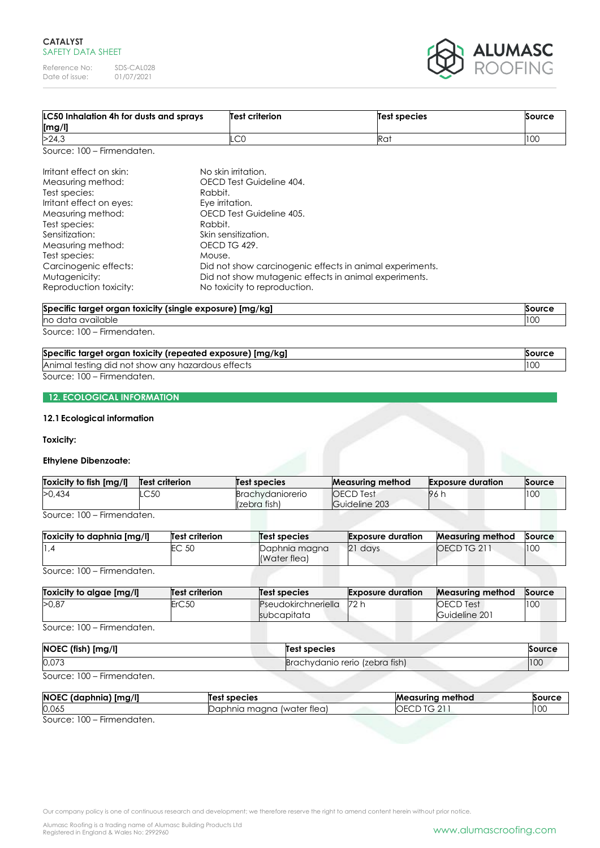Reference No: SDS-CAL028<br>Date of issue: 01/07/2021 Date of issue:



| LC50 Inhalation 4h for dusts and sprays<br>[mg/l]                                                                                                                                                                 |                                                                 | Test criterion                                                                                     | <b>Test species</b>                                      | Source |
|-------------------------------------------------------------------------------------------------------------------------------------------------------------------------------------------------------------------|-----------------------------------------------------------------|----------------------------------------------------------------------------------------------------|----------------------------------------------------------|--------|
| >24,3                                                                                                                                                                                                             |                                                                 | .CO                                                                                                | Rat                                                      | 100    |
| Source: 100 - Firmendaten.                                                                                                                                                                                        |                                                                 |                                                                                                    |                                                          |        |
| Irritant effect on skin:<br>Measuring method:<br>Test species:<br>Irritant effect on eyes:<br>Measuring method:<br>Test species:<br>Sensitization:<br>Measuring method:<br>Test species:<br>Carcinogenic effects: | Rabbit.<br>Eye irritation.<br>Rabbit.<br>OECD TG 429.<br>Mouse. | No skin irritation.<br>OECD Test Guideline 404.<br>OECD Test Guideline 405.<br>Skin sensitization. | Did not show carcinogenic effects in animal experiments. |        |
| Mutagenicity:<br>Reproduction toxicity:                                                                                                                                                                           |                                                                 | No toxicity to reproduction.                                                                       | Did not show mutagenic effects in animal experiments.    |        |

#### **Specific target organ toxicity (single exposure) [mg/kg] Source** no data available 100

Source: 100 – Firmendaten.

| Specific target organ toxicity (repeated exposure) [mg/kg] | Source |
|------------------------------------------------------------|--------|
| Animal testing did not show any hazardous effects          | 10C    |
| Source: 100 – Firmendaten.                                 |        |

**12. ECOLOGICAL INFORMATION**

### **12.1Ecological information**

### **Toxicity:**

### **Ethylene Dibenzoate:**

| Toxicity to fish [mg/l] | <b>Test criterion</b> | Test species                            | <b>Measuring method</b>           | <b>Exposure duration</b> | Source |
|-------------------------|-----------------------|-----------------------------------------|-----------------------------------|--------------------------|--------|
| >0.434                  | LC50                  | <b>Brachvdaniorerio</b><br>(zebra fish) | <b>OECD</b> Test<br>Guideline 203 | 961                      | 100    |

Source: 100 – Firmendaten.

| Toxicity to daphnia Ima/II                                   | <b>Test criterion</b> | Test species                  | <b>Exposure duration</b> | <b>Measuring method</b> | Source |
|--------------------------------------------------------------|-----------------------|-------------------------------|--------------------------|-------------------------|--------|
| ∡, اا                                                        | EC 50                 | Daphnia magna<br>(Water flea) | 21 days                  | <b>OECD TG 211</b>      | 100    |
| $C_{\alpha}$ , $C_{\alpha}$ , $C_{\alpha}$<br>Firmannadortan |                       |                               |                          |                         |        |

Source: 100 – Firmendaten.

| Toxicity to algae [mg/l] | Test criterion    | Test species                       | <b>Exposure duration</b> | <b>Measuring method</b>           | Source |
|--------------------------|-------------------|------------------------------------|--------------------------|-----------------------------------|--------|
| >0.87                    | ErC <sub>50</sub> | Pseudokirchneriella<br>subcapitata | 72 h                     | <b>OECD</b> Test<br>Guideline 201 | 100    |

Source: 100 – Firmendaten.

| NOEC (fish) [mg/l] | <b>Test species</b>            | Source |
|--------------------|--------------------------------|--------|
| 0,073              | Brachydanio rerio (zebra fish) | 100    |

Source: 100 – Firmendaten.

| <b>NOEC</b><br>J [mg/l]<br>(daphnia) | Test species                           | method<br>Measurina | Source                |
|--------------------------------------|----------------------------------------|---------------------|-----------------------|
| 0,065                                | (water tlea)<br>maana<br>. )ar<br>hnia | ◡                   | $\mathbf{1}$<br>1 V V |
| $- \cdot$<br>$\sim$ $\sim$ $\sim$    |                                        |                     |                       |

Source: 100 – Firmendaten.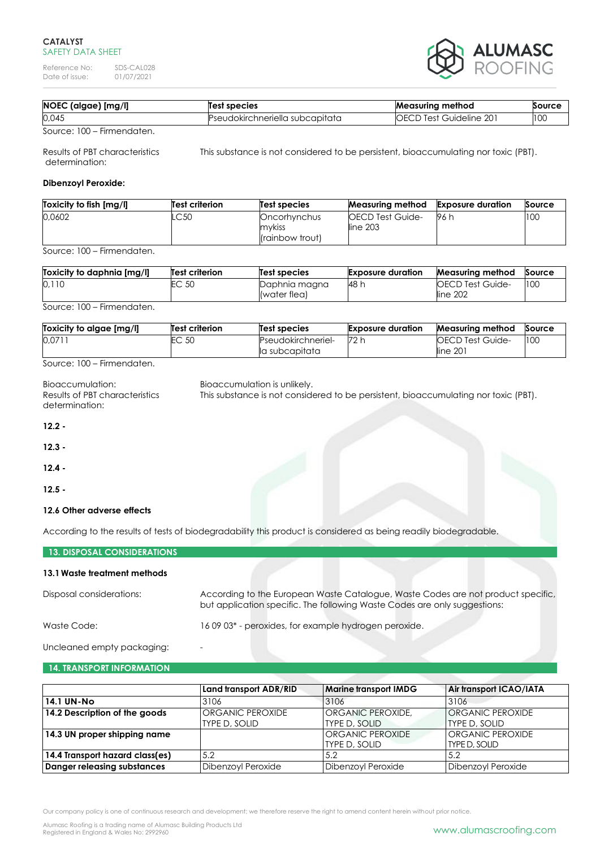Reference No: SDS-CAL028<br>Date of issue: 01/07/2021 Date of issue:



| 0,045<br><b>OECD Test Guideline 201</b><br>Pseudokirchneriella subcapitata | NOEC (algae) [mg/l] | <b>Test species</b> | <b>Measuring method</b> | Source                   |
|----------------------------------------------------------------------------|---------------------|---------------------|-------------------------|--------------------------|
|                                                                            |                     |                     |                         | $\overline{\phantom{a}}$ |

Source: 100 – Firmendaten.

Results of PBT characteristics This substance is not considered to be persistent, bioaccumulating nor toxic (PBT). determination:

## **Dibenzoyl Peroxide:**

| Toxicity to fish [mg/l] | <b>Test criterion</b> | Test species                              | <b>Measuring method</b>                | <b>Exposure duration</b> | Source |
|-------------------------|-----------------------|-------------------------------------------|----------------------------------------|--------------------------|--------|
| 0.0602                  | .C50                  | Oncorhynchus<br>mykiss<br>(rainbow trout) | <b>IOECD Test Guide-</b><br>line $203$ | 96 h                     | 100    |

Source: 100 – Firmendaten.

| Toxicity to daphnia [mg/l] | <b>Test criterion</b> | Test species                  | <b>Exposure duration</b> | <b>Measuring method</b>              | Source |
|----------------------------|-----------------------|-------------------------------|--------------------------|--------------------------------------|--------|
| 0,110                      | EC 50                 | Daphnia magna<br>(water flea) | 48 h                     | <b>IOECD Test Guide-</b><br>line 202 | 100    |

Source: 100 – Firmendaten.

| Toxicity to algae [mg/l] | Test criterion | Test species       | <b>Exposure duration</b> | Measuring method         | Source |
|--------------------------|----------------|--------------------|--------------------------|--------------------------|--------|
| 0.071                    | EC 50          | Pseudokirchneriel- | 72 h                     | <b>IOECD Test Guide-</b> | 100    |
|                          |                | la subcapitata     |                          | line 201                 |        |

Source: 100 – Firmendaten.

| Bioaccumulation:<br>Results of PBT characteristics<br>determination: | Bioaccumulation is unlikely.<br>This substance is not considered to be persistent, bioaccumulating nor toxic (PBT). |
|----------------------------------------------------------------------|---------------------------------------------------------------------------------------------------------------------|
| $12.2 -$                                                             |                                                                                                                     |
| $12.3 -$                                                             |                                                                                                                     |
| $12.4 -$                                                             |                                                                                                                     |
| $12.5 -$                                                             |                                                                                                                     |
| 12.6 Other adverse effects                                           |                                                                                                                     |
|                                                                      | According to the results of tests of biodegradability this product is considered as being readily biodegradable.    |

### **13. DISPOSAL CONSIDERATIONS**

### **13.1Waste treatment methods**

| Disposal considerations: | According to the European Waste Catalogue, Waste Codes are not product specific,<br>but application specific. The following Waste Codes are only suggestions: |
|--------------------------|---------------------------------------------------------------------------------------------------------------------------------------------------------------|
| Waste Code:              | 1609 03* - peroxides, for example hydrogen peroxide.                                                                                                          |

Uncleaned empty packaging: -

## **14. TRANSPORT INFORMATION**

|                                 | Land transport ADR/RID                   | <b>Marine transport IMDG</b>              | Air transport ICAO/IATA                  |
|---------------------------------|------------------------------------------|-------------------------------------------|------------------------------------------|
| <b>14.1 UN-No</b>               | 3106                                     | 3106                                      | 3106                                     |
| 14.2 Description of the goods   | <b>ORGANIC PEROXIDE</b><br>TYPE D, SOLID | <b>ORGANIC PEROXIDE.</b><br>TYPE D, SOLID | <b>ORGANIC PEROXIDE</b><br>TYPE D, SOLID |
| 14.3 UN proper shipping name    |                                          | ORGANIC PEROXIDE<br><b>TYPE D, SOLID</b>  | ORGANIC PEROXIDE<br>TYPE D, SOLID        |
| 14.4 Transport hazard class(es) | 5.2                                      | 5.2                                       | 5.2                                      |
| Danger releasing substances     | Dibenzoyl Peroxide                       | <b>Dibenzoyl Peroxide</b>                 | Dibenzoyl Peroxide                       |

Our company policy is one of continuous research and development; we therefore reserve the right to amend content herein without prior notice.

Alumasc Roofing is a trading name of Alumasc Building Products Ltd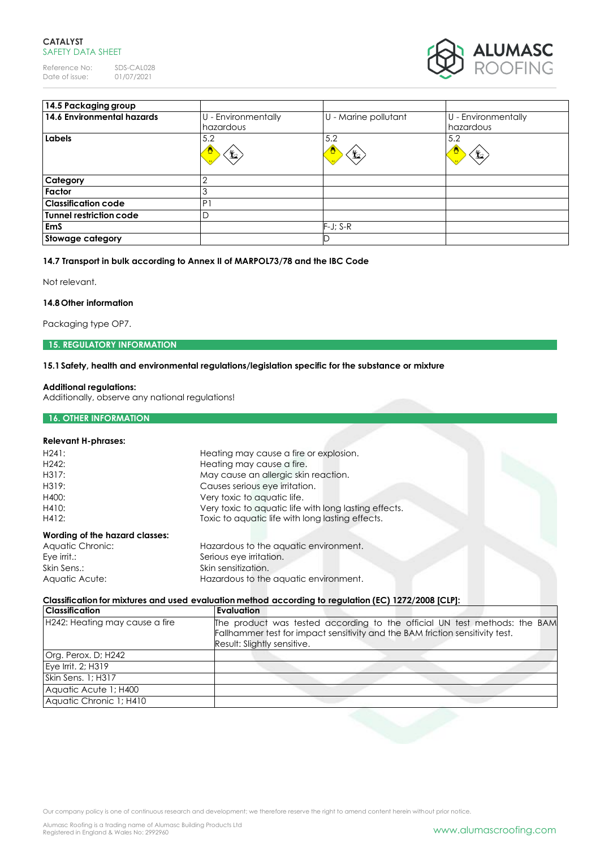Reference No: SDS-CAL028<br>Date of issue: 01/07/2021 Date of issue:



| 14.5 Packaging group       |                                  |                      |                                            |
|----------------------------|----------------------------------|----------------------|--------------------------------------------|
| 14.6 Environmental hazards | U - Environmentally<br>hazardous | U - Marine pollutant | U - Environmentally<br>hazardous           |
| Labels                     | 5.2<br>O<br>₩                    | 5.2<br>坐             | 5.2<br>$\mathbf{\mathbf{\mathbf{\#}}}_{2}$ |
| Category                   |                                  |                      |                                            |
| Factor                     | 3                                |                      |                                            |
| <b>Classification code</b> | P <sub>1</sub>                   |                      |                                            |
| Tunnel restriction code    | D                                |                      |                                            |
| <b>EmS</b>                 |                                  | $F-J$ ; S-R          |                                            |
| <b>Stowage category</b>    |                                  |                      |                                            |

## **14.7 Transport in bulk according to Annex II of MARPOL73/78 and the IBC Code**

Not relevant.

### **14.8Other information**

Packaging type OP7.

#### **15. REGULATORY INFORMATION**

## **15.1Safety, health and environmental regulations/legislation specific for the substance or mixture**

#### **Additional regulations:**

**16. OTHER INFORMATION**

Additionally, observe any national regulations!

### **Relevant H-phrases:**

| <u>kelevulli ri-pilluses.</u>  |                                                       |  |
|--------------------------------|-------------------------------------------------------|--|
| $H24$ :                        | Heating may cause a fire or explosion.                |  |
| H <sub>242</sub> :             | Heating may cause a fire.                             |  |
| H317:                          | May cause an allergic skin reaction.                  |  |
| H319:                          | Causes serious eye irritation.                        |  |
| H400:                          | Very toxic to aquatic life.                           |  |
| H410:                          | Very toxic to aquatic life with long lasting effects. |  |
| H412:                          | Toxic to aquatic life with long lasting effects.      |  |
| Wording of the hazard classes: |                                                       |  |
| Aquatic Chronic:               | Hazardous to the aquatic environment.                 |  |
| Eye $\text{irrit}$ .:          | Serious eye irritation.                               |  |
| Skin Sens ·                    | Skin sensitization                                    |  |

# Skin Sens.: Skin sensitization. Aquatic Acute: Hazardous to the aquatic environment.

# **Classification for mixtures and used evaluation method according to regulation (EC) 1272/2008 [CLP]:**

| <b>Evaluation</b>                                                                                                                                                                         |
|-------------------------------------------------------------------------------------------------------------------------------------------------------------------------------------------|
| The product was tested according to the official UN test methods: the BAM<br>Fallhammer test for impact sensitivity and the BAM friction sensitivity test.<br>Result: Slightly sensitive. |
|                                                                                                                                                                                           |
|                                                                                                                                                                                           |
|                                                                                                                                                                                           |
|                                                                                                                                                                                           |
|                                                                                                                                                                                           |
|                                                                                                                                                                                           |